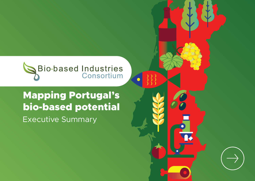

 $\bullet$ 

## Mapping Portugal's bio-based potential Executive Summary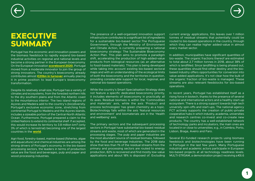## **EXECUTIVE SUMMARY**

Portugal has the economic and innovation powers and the biomass feedstock to rapidly expand bio-based industrial activities on regional and national levels and become a strong partner in the European bioeconomy. On the European innovation **[scoreboard 2020](https://ec.europa.eu/growth/industry/innovation/facts-figures/scoreboards_en)**, Portugal moved from a moderate innovator to join the group of strong innovators. The country's bioeconomy already contributes almost **[€20bn in turnover](https://biconsortium.eu/bioeconomy-turnover-employment-2017)** annually placing it in prime position to lead Europe's bioeconomy transformation.

Despite its relatively small size, Portugal has a variety of climates and ecosystems, from the forested northern hills to the dry southern plains and from the Atlantic coast to the mountainous interior. The two island regions of Açores and Madeira add to the country's (bio)diversity. Portugal's exclusive economic zone, stretching from continental Portugal to Madeira and the Açores islands, includes a sizeable portion of the Central-North Atlantic Ocean. Furthermore, Portugal prepared a claim to the United Nations to extend its continental shelf. If accepted, this would increase its territory to 3.8 million  $km<sup>2</sup>$  (only 3% of which is terrestrial) becoming one of the largest countries in the **[world](https://bloomsburygeographer.com/2020/05/30/beyond-the-horizon-portugals-plan-for-atlantic-expansion/)**.

Agri-food, forestry-based, marine-based (fisheries, algae and aquaculture) and chemical industries are among the strong drivers of Portugal's economy. In the bio-based processing sectors, the leaders in terms of production value are the food and beverages, pulp and paper and wood processing industries.

The presence of a well-organised innovation support infrastructure contributes to a significant list of ingredients for a sustainable bio-based sector.The Portuguese Government, through the Ministry of Environment and Climate Action, is currently preparing a national bioeconomy strategy: The Sustainable Bioeconomy Action Plan. This plan aims to promote a paradigm shift, accelerating the production of high-added-value products from biological resources (as an alternative to fossil-based materials). This plan is being developed while taking into account existing bio-based sectoral maps and with an understanding of the ecological limits of both the bioeconomy and the territories in question, providing considerable support for local, regional, and national bio-based operations.

While the country's Smart Specialisation Strategy does not feature a specific dedicated bioeconomy priority, it includes elements of bioeconomy in practically all its axes. Residual biomass is within the 'Commodities and materials' axis, while the axis 'Product and process technologies' has green chemistry as a topic. Biotechnology falls within the axis 'Natural resources and environment' and biomaterials are in the 'Health and wellbeing' axis.

The primary sectors and the subsequent processing sectors in Portugal have substantial bio-based residual streams and waste, most of which are generated in the processing stages. The pulp and paper industries are the most abundant source of residual biomass, followed by the food and beverage industries. The 2018 data show that less than 1% of the residual streams from the primary and processing sectors are routed to energy production, 82% is recovered and find mostly low-value applications and about 18% is disposed of. Excluding current energy applications, this leaves over 1 million tonnes of residual streams that potentially could be routed to bio-based operations in the country, through which they can realise higher added-value in almost every market sector.

In addition, municipalities have significant quantities of bio-waste. The organic fractions thereof are estimated to total about 2.7 million tonnes in 2018, about 38% of which is landfilled. Since landfilling is being phased out, these quantities should find other destiny and the biobased industry offers opportunities for conversion into value-added applications. It's not clear how the bulk of the organic fraction of bio-waste is managed. These streams are also relevant feedstocks for bio-based operations.

In recent years, Portugal has established itself as a rising force in biotech, thanks to the presence of several national and international actors and a healthy start-up ecosystem. There is a strong support towards high-tech university spin-offs and start-ups. The national agency FCT actively supports the creation of public-private cooperative hubs in which industry, academia, universities and research centres co-invest and co-create new products. The country has a well-established network of technology parks and incubators, the main ones are located in or close to universities; e.g., in Coimbra, Porto, Lisbon, Braga, Aveiro and Faro.

Several EU-funded research projects using biomass feedstock and biotechnologies have been running in Portugal in the last few years. Many Portuguese industrial and academic actors participate in European bio-based projects at all technology readiness levels. MULTI-STR3AM, a demonstration project receiving a €6.6